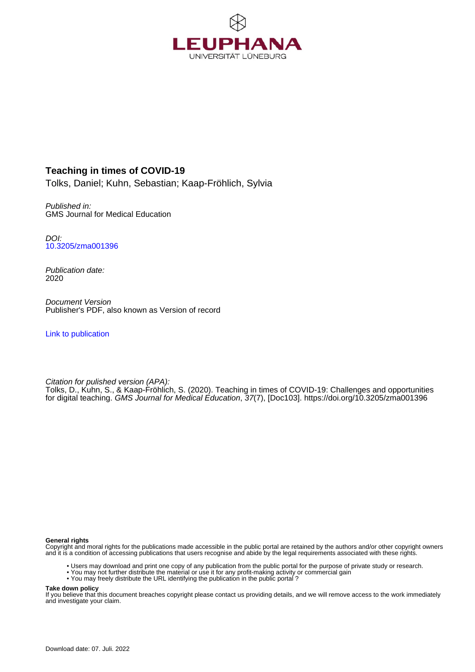

### **Teaching in times of COVID-19**

Tolks, Daniel; Kuhn, Sebastian; Kaap-Fröhlich, Sylvia

Published in: GMS Journal for Medical Education

DOI: [10.3205/zma001396](https://doi.org/10.3205/zma001396)

Publication date: 2020

Document Version Publisher's PDF, also known as Version of record

[Link to publication](http://fox.leuphana.de/portal/en/publications/teaching-in-times-of-covid19(8ba3fedf-575f-41dc-902b-627fe53c9946).html)

Citation for pulished version (APA): [Tolks, D.](http://fox.leuphana.de/portal/de/persons/daniel-tolks(4fb0a74f-51c3-4dab-b031-644890771b1e).html), Kuhn, S., & Kaap-Fröhlich, S. (2020). [Teaching in times of COVID-19: Challenges and opportunities](http://fox.leuphana.de/portal/de/publications/teaching-in-times-of-covid19(8ba3fedf-575f-41dc-902b-627fe53c9946).html) [for digital teaching](http://fox.leuphana.de/portal/de/publications/teaching-in-times-of-covid19(8ba3fedf-575f-41dc-902b-627fe53c9946).html). [GMS Journal for Medical Education](http://fox.leuphana.de/portal/de/journals/gms-journal-for-medical-education(ea863dc3-8d93-40bb-a240-151ed52458c7)/publications.html), 37(7), [Doc103].<https://doi.org/10.3205/zma001396>

#### **General rights**

Copyright and moral rights for the publications made accessible in the public portal are retained by the authors and/or other copyright owners and it is a condition of accessing publications that users recognise and abide by the legal requirements associated with these rights.

- Users may download and print one copy of any publication from the public portal for the purpose of private study or research.
- You may not further distribute the material or use it for any profit-making activity or commercial gain
- You may freely distribute the URL identifying the publication in the public portal ?

#### **Take down policy**

If you believe that this document breaches copyright please contact us providing details, and we will remove access to the work immediately and investigate your claim.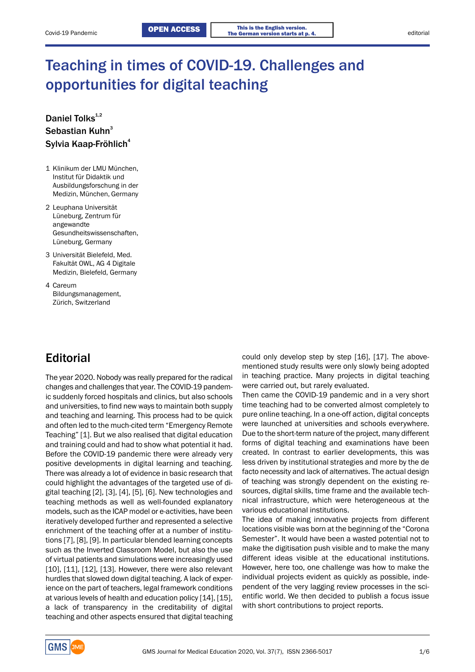# Teaching in times of COVID-19. Challenges and opportunities for digital teaching

### Daniel Tolks<sup>1,2</sup> Sebastian Kuhn<sup>3</sup> Sylvia Kaap-Fröhlich 4

- 1 Klinikum der LMU München, Institut für Didaktik und Ausbildungsforschung in der Medizin, München, Germany
- 2 Leuphana Universität Lüneburg, Zentrum für angewandte Gesundheitswissenschaften, Lüneburg, Germany
- 3 Universität Bielefeld, Med. Fakultät OWL, AG 4 Digitale Medizin, Bielefeld, Germany
- 4 Careum Bildungsmanagement, Zürich, Switzerland

# **Editorial**

The year 2020. Nobody was really prepared for the radical changes and challenges that year. The COVID-19 pandemic suddenly forced hospitals and clinics, but also schools and universities, to find new ways to maintain both supply and teaching and learning. This process had to be quick and often led to the much-cited term "Emergency Remote Teaching" [1]. But we also realised that digital education and training could and had to show what potential it had. Before the COVID-19 pandemic there were already very positive developments in digital learning and teaching. There was already a lot of evidence in basic research that could highlight the advantages of the targeted use of digital teaching [2], [3], [4], [5], [6]. New technologies and teaching methods as well as well-founded explanatory models, such as the ICAP model or e-activities, have been iteratively developed further and represented a selective enrichment of the teaching offer at a number of institutions [7], [8], [9]. In particular blended learning concepts such as the Inverted Classroom Model, but also the use of virtual patients and simulations were increasingly used [10], [11], [12], [13]. However, there were also relevant hurdles that slowed down digital teaching. A lack of experience on the part of teachers, legal framework conditions at various levels of health and education policy [14], [15], a lack of transparency in the creditability of digital teaching and other aspects ensured that digital teaching could only develop step by step [16], [17]. The abovementioned study results were only slowly being adopted in teaching practice. Many projects in digital teaching were carried out, but rarely evaluated.

Then came the COVID-19 pandemic and in a very short time teaching had to be converted almost completely to pure online teaching. In a one-off action, digital concepts were launched at universities and schools everywhere. Due to the short-term nature of the project, many different forms of digital teaching and examinations have been created. In contrast to earlier developments, this was less driven by institutional strategies and more by the de facto necessity and lack of alternatives. The actual design of teaching was strongly dependent on the existing resources, digital skills, time frame and the available technical infrastructure, which were heterogeneous at the various educational institutions.

The idea of making innovative projects from different locations visible was born at the beginning of the "Corona Semester". It would have been a wasted potential not to make the digitisation push visible and to make the many different ideas visible at the educational institutions. However, here too, one challenge was how to make the individual projects evident as quickly as possible, independent of the very lagging review processes in the scientific world. We then decided to publish a focus issue with short contributions to project reports.

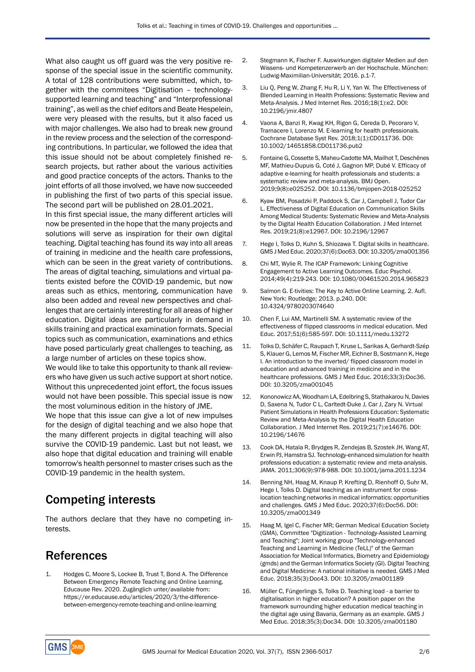What also caught us off guard was the very positive response of the special issue in the scientific community. A total of 128 contributions were submitted, which, together with the commitees "Digitisation – technologysupported learning and teaching" and "Interprofessional training", as well as the chief editors and Beate Hespelein, were very pleased with the results, but it also faced us with major challenges. We also had to break new ground in the review process and the selection of the corresponding contributions. In particular, we followed the idea that this issue should not be about completely finished research projects, but rather about the various activities and good practice concepts of the actors. Thanks to the joint efforts of all those involved, we have now succeeded in publishing the first of two parts of this special issue. The second part will be published on 28.01.2021.

In this first special issue, the many different articles will now be presented in the hope that the many projects and solutions will serve as inspiration for their own digital teaching. Digital teaching has found its way into all areas of training in medicine and the health care professions, which can be seen in the great variety of contributions. The areas of digital teaching, simulations and virtual patients existed before the COVID-19 pandemic, but now areas such as ethics, mentoring, communication have also been added and reveal new perspectives and challenges that are certainly interesting for all areas of higher education. Digital ideas are particularly in demand in skills training and practical examination formats. Special topics such as communication, examinations and ethics have posed particularly great challenges to teaching, as a large number of articles on these topics show.

We would like to take this opportunity to thank all reviewers who have given us such active support at short notice. Without this unprecedented joint effort, the focus issues would not have been possible. This special issue is now the most voluminous edition in the history of JME.

We hope that this issue can give a lot of new impulses for the design of digital teaching and we also hope that the many different projects in digital teaching will also survive the COVID-19 pandemic. Last but not least, we also hope that digital education and training will enable tomorrow's health personnel to master crises such as the COVID-19 pandemic in the health system.

# Competing interests

The authors declare that they have no competing interests.

# References

1. Hodges C, Moore S, Lockee B, Trust T, Bond A. The Difference Between Emergency Remote Teaching and Online Learning. Educause Rev. 2020. Zugänglich unter/available from: https://er.educause.edu/articles/2020/3/the-differencebetween-emergency-remote-teaching-and-online-learning

- 2. Stegmann K, Fischer F. Auswirkungen digitaler Medien auf den Wissens- und Kompetenzerwerb an der Hochschule. München: Ludwig-Maximilian-Universität; 2016. p.1-7.
- 3. Liu Q, Peng W, Zhang F, Hu R, Li Y, Yan W. The Effectiveness of Blended Learning in Health Professions: Systematic Review and Meta-Analysis. J Med Internet Res. 2016;18(1):e2. DOI: 10.2196/jmir.4807
- 4. Vaona A, Banzi R, Kwag KH, Rigon G, Cereda D, Pecoraro V, Tramacere I, Lorenzo M. E-learning for health professionals. Cochrane Database Syst Rev. 2018;1(1):CD011736. DOI: 10.1002/14651858.CD011736.pub2
- 5. Fontaine G, Cossette S, Maheu-Cadotte MA, Mailhot T, Deschênes MF, Mathieu-Dupuis G, Coté J, Gagnon MP, Dubé V. Efficacy of adaptive e-learning for health professionals and students: a systematic review and meta-analysis. BMJ Open. 2019;9(8):e025252. DOI: 10.1136/bmjopen-2018-025252
- 6. Kyaw BM, Posadzki P, Paddock S, Car J, Campbell J, Tudor Car L. Effectiveness of Digital Education on Communication Skills Among Medical Students: Systematic Review and Meta-Analysis by the Digital Health Education Collaboration. J Med Internet Res. 2019;21(8):e12967. DOI: 10.2196/12967
- 7. Hege I, Tolks D, Kuhn S, Shiozawa T. Digital skills in healthcare. GMS J Med Educ. 2020;37(6):Doc63. DOI: 10.3205/zma001356
- 8. Chi MT, Wylie R. The ICAP Framework: Linking Cognitive Engagement to Active Learning Outcomes. Educ Psychol. 2014;49(4):219-243. DOI: 10.1080/00461520.2014.965823
- 9. Salmon G. E-tivities: The Key to Active Online Learning. 2. Aufl. New York: Routledge; 2013. p.240. DOI: 10.4324/9780203074640
- 10. Chen F, Lui AM, Martinelli SM. A systematic review of the effectiveness of flipped classrooms in medical education. Med Educ. 2017;51(6):585-597. DOI: 10.1111/medu.13272
- 11. Tolks D, Schäfer C, Raupach T, Kruse L, Sarikas A, Gerhardt-Szép S, Klauer G, Lemos M, Fischer MR, Eichner B, Sostmann K, Hege I. An introduction to the inverted/ flipped classroom model in education and advanced training in medicine and in the healthcare professions. GMS J Med Educ. 2016;33(3):Doc36. DOI: 10.3205/zma001045
- 12. Kononowicz AA, Woodham LA, Edelbring S, Stathakarou N, Davies D, Saxena N, Tudor C L, Carltedt-Duke J, Car J, Zary N. Virtual Patient Simulations in Health Professions Education: Systematic Review and Meta-Analysis by the Digital Health Education Collaboration. J Med Internet Res. 2019;21(7):e14676. DOI: 10.2196/14676
- 13. Cook DA, Hatala R, Brydges R, Zendejas B, Szostek JH, Wang AT, Erwin PJ, Hamstra SJ. Technology-enhanced simulation for health professions education: a systematic review and meta-analysis. JAMA. 2011;306(9):978-988. DOI: 10.1001/jama.2011.1234
- 14. Benning NH, Haag M, Knaup P, Krefting D, Rienhoff O, Suhr M, Hege I, Tolks D. Digital teaching as an instrument for crosslocation teaching networks in medical informatics: opportunities and challenges. GMS J Med Educ. 2020;37(6):Doc56. DOI: 10.3205/zma001349
- 15. Haag M, Igel C, Fischer MR; German Medical Education Society (GMA), Committee "Digitization - Technology-Assisted Learning and Teaching"; Joint working group "Technology-enhanced Teaching and Learning in Medicine (TeLL)" of the German Association for Medical Informatics, Biometry and Epidemiology (gmds) and the German Informatics Society (GI). Digital Teaching and Digital Medicine: A national initiative is needed. GMS J Med Educ. 2018;35(3):Doc43. DOI: 10.3205/zma001189
- 16. Müller C, Füngerlings S, Tolks D. Teaching load a barrier to digitalisation in higher education? A position paper on the framework surrounding higher education medical teaching in the digital age using Bavaria, Germany as an example. GMS J Med Educ. 2018;35(3):Doc34. DOI: 10.3205/zma001180

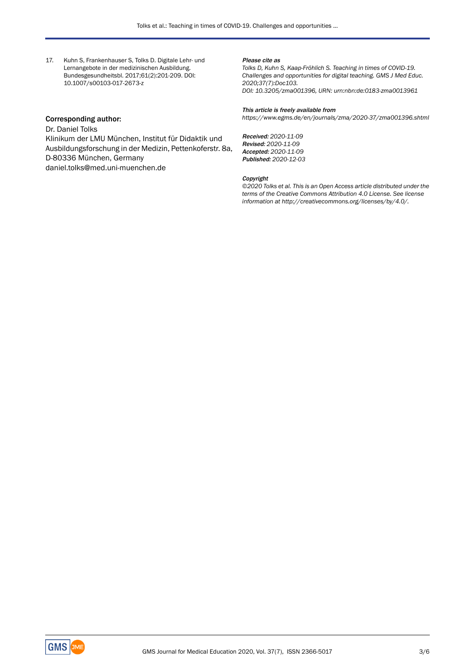17. Kuhn S, Frankenhauser S, Tolks D. Digitale Lehr- und Lernangebote in der medizinischen Ausbildung. Bundesgesundheitsbl. 2017;61(2):201-209. DOI: 10.1007/s00103-017-2673-z

#### Please cite as

*Tolks D, Kuhn S, Kaap-Fröhlich S. Teaching in times of COVID-19. Challenges and opportunities for digital teaching. GMS J Med Educ. 2020;37(7):Doc103. DOI: 10.3205/zma001396, URN: urn:nbn:de:0183-zma0013961*

#### Corresponding author:

Dr. Daniel Tolks

Klinikum der LMU München, Institut für Didaktik und Ausbildungsforschung in der Medizin, Pettenkoferstr. 8a, D-80336 München, Germany daniel.tolks@med.uni-muenchen.de

### This article is freely available from

*https://www.egms.de/en/journals/zma/2020-37/zma001396.shtml*

Received: *2020-11-09* Revised: *2020-11-09* Accepted: *2020-11-09* Published: *2020-12-03*

#### Copyright

*©2020 Tolks et al. This is an Open Access article distributed under the terms of the Creative Commons Attribution 4.0 License. See license information at http://creativecommons.org/licenses/by/4.0/.*

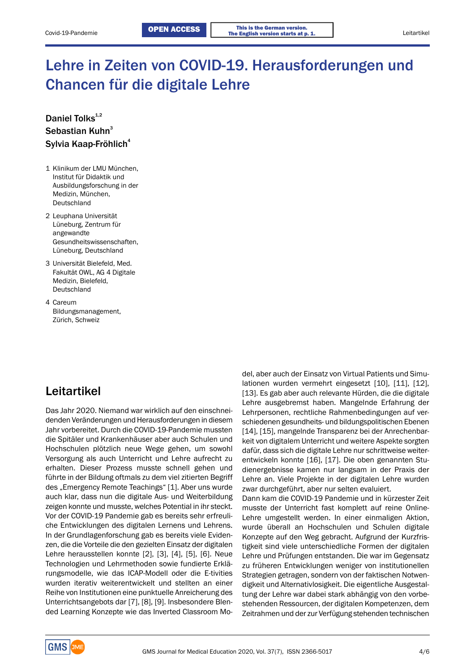# Lehre in Zeiten von COVID-19. Herausforderungen und Chancen für die digitale Lehre

### Daniel Tolks<sup>1,2</sup> Sebastian Kuhn<sup>3</sup> Sylvia Kaap-Fröhlich 4

- 1 Klinikum der LMU München, Institut für Didaktik und Ausbildungsforschung in der Medizin, München, Deutschland
- 2 Leuphana Universität Lüneburg, Zentrum für angewandte Gesundheitswissenschaften, Lüneburg, Deutschland
- 3 Universität Bielefeld, Med. Fakultät OWL, AG 4 Digitale Medizin, Bielefeld, Deutschland
- 4 Careum Bildungsmanagement, Zürich, Schweiz

## Leitartikel

Das Jahr 2020. Niemand war wirklich auf den einschneidenden Veränderungen und Herausforderungen in diesem Jahr vorbereitet. Durch die COVID-19-Pandemie mussten die Spitäler und Krankenhäuser aber auch Schulen und Hochschulen plötzlich neue Wege gehen, um sowohl Versorgung als auch Unterricht und Lehre aufrecht zu erhalten. Dieser Prozess musste schnell gehen und führte in der Bildung oftmals zu dem viel zitierten Begriff des "Emergency Remote Teachings" [1]. Aber uns wurde auch klar, dass nun die digitale Aus- und Weiterbildung zeigen konnte und musste, welches Potential in ihr steckt. Vor der COVID-19 Pandemie gab es bereits sehr erfreuliche Entwicklungen des digitalen Lernens und Lehrens. In der Grundlagenforschung gab es bereits viele Evidenzen, die die Vorteile die den gezielten Einsatz der digitalen Lehre herausstellen konnte [2], [3], [4], [5], [6]. Neue Technologien und Lehrmethoden sowie fundierte Erklärungsmodelle, wie das ICAP-Modell oder die E-tivities wurden iterativ weiterentwickelt und stellten an einer Reihe von Institutionen eine punktuelle Anreicherung des Unterrichtsangebots dar [7], [8], [9]. Insbesondere Blended Learning Konzepte wie das Inverted Classroom Model, aber auch der Einsatz von Virtual Patients und Simulationen wurden vermehrt eingesetzt [10], [11], [12], [13]. Es gab aber auch relevante Hürden, die die digitale Lehre ausgebremst haben. Mangelnde Erfahrung der Lehrpersonen, rechtliche Rahmenbedingungen auf verschiedenen gesundheits- und bildungspolitischen Ebenen [14], [15], mangelnde Transparenz bei der Anrechenbarkeit von digitalem Unterricht und weitere Aspekte sorgten dafür, dass sich die digitale Lehre nur schrittweise weiterentwickeln konnte [16], [17]. Die oben genannten Studienergebnisse kamen nur langsam in der Praxis der Lehre an. Viele Projekte in der digitalen Lehre wurden zwar durchgeführt, aber nur selten evaluiert. Dann kam die COVID-19 Pandemie und in kürzester Zeit musste der Unterricht fast komplett auf reine Online-

Lehre umgestellt werden. In einer einmaligen Aktion, wurde überall an Hochschulen und Schulen digitale Konzepte auf den Weg gebracht. Aufgrund der Kurzfristigkeit sind viele unterschiedliche Formen der digitalen Lehre und Prüfungen entstanden. Die war im Gegensatz zu früheren Entwicklungen weniger von institutionellen Strategien getragen, sondern von der faktischen Notwendigkeit und Alternativlosigkeit. Die eigentliche Ausgestaltung der Lehre war dabei stark abhängig von den vorbestehenden Ressourcen, der digitalen Kompetenzen, dem Zeitrahmen und der zur Verfügung stehenden technischen

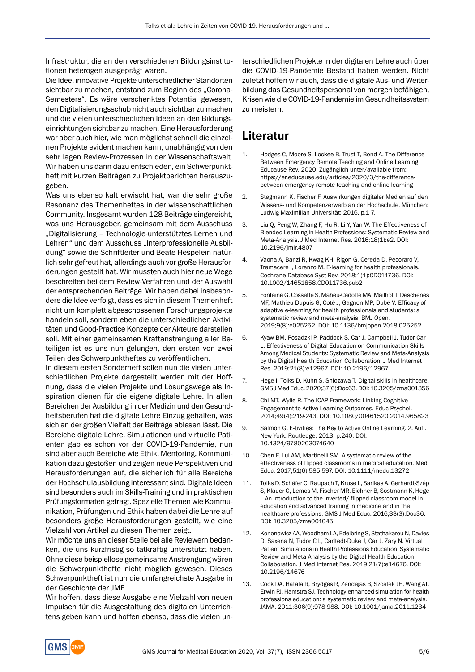Infrastruktur, die an den verschiedenen Bildungsinstitutionen heterogen ausgeprägt waren.

Die Idee, innovative Projekte unterschiedlicher Standorten sichtbar zu machen, entstand zum Beginn des "Corona-Semesters". Es wäre verschenktes Potential gewesen, den Digitalisierungsschub nicht auch sichtbar zu machen und die vielen unterschiedlichen Ideen an den Bildungseinrichtungen sichtbar zu machen. Eine Herausforderung war aber auch hier, wie man möglichst schnell die einzelnen Projekte evident machen kann, unabhängig von den sehr lagen Review-Prozessen in der Wissenschaftswelt. Wir haben uns dann dazu entschieden, ein Schwerpunktheft mit kurzen Beiträgen zu Projektberichten herauszugeben.

Was uns ebenso kalt erwischt hat, war die sehr große Resonanz des Themenheftes in der wissenschaftlichen Community. Insgesamt wurden 128 Beiträge eingereicht, was uns Herausgeber, gemeinsam mit dem Ausschuss "Digitalisierung - Technologie-unterstütztes Lernen und Lehren" und dem Ausschuss "Interprofessionelle Ausbildung" sowie die Schriftleiter und Beate Hespelein natürlich sehr gefreut hat, allerdings auch vor große Herausforderungen gestellt hat. Wir mussten auch hier neue Wege beschreiten bei dem Review-Verfahren und der Auswahl der entsprechenden Beiträge. Wir haben dabei insbesondere die Idee verfolgt, dass es sich in diesem Themenheft nicht um komplett abgeschossenen Forschungsprojekte handeln soll, sondern eben die unterschiedlichen Aktivitäten und Good-Practice Konzepte der Akteure darstellen soll. Mit einer gemeinsamen Kraftanstrengung aller Beteiligen ist es uns nun gelungen, den ersten von zwei Teilen des Schwerpunktheftes zu veröffentlichen.

In diesem ersten Sonderheft sollen nun die vielen unterschiedlichen Projekte dargestellt werden mit der Hoffnung, dass die vielen Projekte und Lösungswege als Inspiration dienen für die eigene digitale Lehre. In allen Bereichen der Ausbildung in der Medizin und den Gesundheitsberufen hat die digitale Lehre Einzug gehalten, was sich an der großen Vielfalt der Beiträge ablesen lässt. Die Bereiche digitale Lehre, Simulationen und virtuelle Patienten gab es schon vor der COVID-19-Pandemie, nun sind aber auch Bereiche wie Ethik, Mentoring, Kommunikation dazu gestoßen und zeigen neue Perspektiven und Herausforderungen auf, die sicherlich für alle Bereiche der Hochschulausbildung interessant sind. Digitale Ideen sind besonders auch im Skills-Training und in praktischen Prüfungsformaten gefragt. Spezielle Themen wie Kommunikation, Prüfungen und Ethik haben dabei die Lehre auf besonders große Herausforderungen gestellt, wie eine Vielzahl von Artikel zu diesen Themen zeigt.

Wir möchte uns an dieser Stelle bei alle Reviewern bedanken, die uns kurzfristig so tatkräftig unterstützt haben. Ohne diese beispiellose gemeinsame Anstrengung wären die Schwerpunkthefte nicht möglich gewesen. Dieses Schwerpunktheft ist nun die umfangreichste Ausgabe in der Geschichte der JME.

Wir hoffen, dass diese Ausgabe eine Vielzahl von neuen Impulsen für die Ausgestaltung des digitalen Unterrichtens geben kann und hoffen ebenso, dass die vielen unterschiedlichen Projekte in der digitalen Lehre auch über die COVID-19-Pandemie Bestand haben werden. Nicht zuletzt hoffen wir auch, dass die digitale Aus- und Weiterbildung das Gesundheitspersonal von morgen befähigen, Krisen wie die COVID-19-Pandemie im Gesundheitssystem zu meistern.

## Literatur

- 1. Hodges C, Moore S, Lockee B, Trust T, Bond A. The Difference Between Emergency Remote Teaching and Online Learning. Educause Rev. 2020. Zugänglich unter/available from: https://er.educause.edu/articles/2020/3/the-differencebetween-emergency-remote-teaching-and-online-learning
- 2. Stegmann K, Fischer F. Auswirkungen digitaler Medien auf den Wissens- und Kompetenzerwerb an der Hochschule. München: Ludwig-Maximilian-Universität; 2016. p.1-7.
- 3. Liu Q, Peng W, Zhang F, Hu R, Li Y, Yan W. The Effectiveness of Blended Learning in Health Professions: Systematic Review and Meta-Analysis. J Med Internet Res. 2016;18(1):e2. DOI: 10.2196/jmir.4807
- 4. Vaona A, Banzi R, Kwag KH, Rigon G, Cereda D, Pecoraro V, Tramacere I, Lorenzo M. E-learning for health professionals. Cochrane Database Syst Rev. 2018;1(1):CD011736. DOI: 10.1002/14651858.CD011736.pub2
- 5. Fontaine G, Cossette S, Maheu-Cadotte MA, Mailhot T, Deschênes MF, Mathieu-Dupuis G, Coté J, Gagnon MP, Dubé V. Efficacy of adaptive e-learning for health professionals and students: a systematic review and meta-analysis. BMJ Open. 2019;9(8):e025252. DOI: 10.1136/bmjopen-2018-025252
- 6. Kyaw BM, Posadzki P, Paddock S, Car J, Campbell J, Tudor Car L. Effectiveness of Digital Education on Communication Skills Among Medical Students: Systematic Review and Meta-Analysis by the Digital Health Education Collaboration. J Med Internet Res. 2019;21(8):e12967. DOI: 10.2196/12967
- 7. Hege I, Tolks D, Kuhn S, Shiozawa T. Digital skills in healthcare. GMS J Med Educ. 2020;37(6):Doc63. DOI: 10.3205/zma001356
- 8. Chi MT, Wylie R. The ICAP Framework: Linking Cognitive Engagement to Active Learning Outcomes. Educ Psychol. 2014;49(4):219-243. DOI: 10.1080/00461520.2014.965823
- 9. Salmon G. E-tivities: The Key to Active Online Learning. 2. Aufl. New York: Routledge; 2013. p.240. DOI: 10.4324/9780203074640
- 10. Chen F, Lui AM, Martinelli SM. A systematic review of the effectiveness of flipped classrooms in medical education. Med Educ. 2017;51(6):585-597. DOI: 10.1111/medu.13272
- 11. Tolks D, Schäfer C, Raupach T, Kruse L, Sarikas A, Gerhardt-Szép S, Klauer G, Lemos M, Fischer MR, Eichner B, Sostmann K, Hege I. An introduction to the inverted/ flipped classroom model in education and advanced training in medicine and in the healthcare professions. GMS J Med Educ. 2016;33(3):Doc36. DOI: 10.3205/zma001045
- 12. Kononowicz AA, Woodham LA, Edelbring S, Stathakarou N, Davies D, Saxena N, Tudor C L, Carltedt-Duke J, Car J, Zary N. Virtual Patient Simulations in Health Professions Education: Systematic Review and Meta-Analysis by the Digital Health Education Collaboration. J Med Internet Res. 2019;21(7):e14676. DOI: 10.2196/14676
- 13. Cook DA, Hatala R, Brydges R, Zendejas B, Szostek JH, Wang AT, Erwin PJ, Hamstra SJ. Technology-enhanced simulation for health professions education: a systematic review and meta-analysis. JAMA. 2011;306(9):978-988. DOI: 10.1001/jama.2011.1234